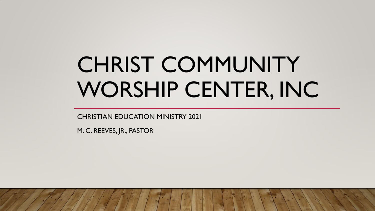# CHRIST COMMUNITY WORSHIP CENTER, INC

CHRISTIAN EDUCATION MINISTRY 2021

M. C. REEVES, JR., PASTOR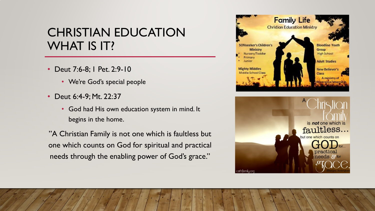## CHRISTIAN EDUCATION WHAT IS IT?

- Deut 7:6-8; 1 Pet. 2:9-10
	- We're God's special people
- Deut 6:4-9; Mt. 22:37
	- God had His own education system in mind. It begins in the home.

"A Christian Family is not one which is faultless but one which counts on God for spiritual and practical needs through the enabling power of God's grace."

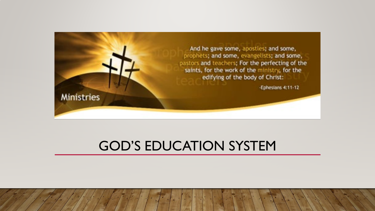

## GOD'S EDUCATION SYSTEM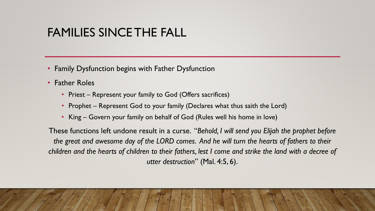### FAMILIES SINCE THE FALL

- Family Dysfunction begins with Father Dysfunction
- Father Roles
	- Priest Represent your family to God (Offers sacrifices)
	- Prophet Represent God to your family (Declares what thus saith the Lord)
	- King Govern your family on behalf of God (Rules well his home in love)

These functions left undone result in a curse. "*Behold, I will send you Elijah the prophet before the great and awesome day of the LORD comes. And he will turn the hearts of fathers to their children and the hearts of children to their fathers, lest I come and strike the land with a decree of utter destruction*" (Mal. 4:5, 6).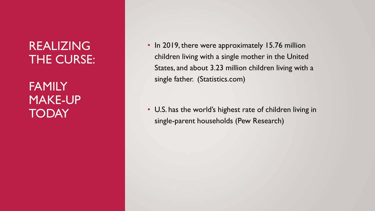REALIZING THE CURSE:

**FAMILY** MAKE-UP **TODAY** 

• In 2019, there were approximately 15.76 million children living with a single mother in the United States, and about 3.23 million children living with a single father. (Statistics.com )

• U.S. has the world's highest rate of children living in single -parent households (Pew Research)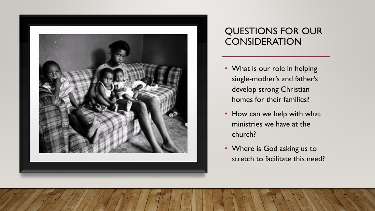

#### QUESTIONS FOR OUR **CONSIDERATION**

- What is our role in helping single-mother's and father's develop strong Christian homes for their families?
- How can we help with what ministries we have at the church?
- Where is God asking us to stretch to facilitate this need?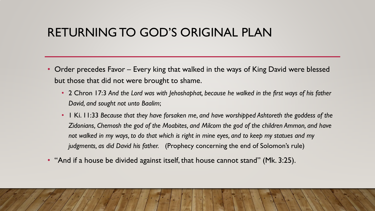### RETURNING TO GOD'S ORIGINAL PLAN

- Order precedes Favor Every king that walked in the ways of King David were blessed but those that did not were brought to shame.
	- 2 Chron 17:3 *And the Lord was with Jehoshaphat, because he walked in the first ways of his father David, and sought not unto Baalim*;
	- 1 Ki. 11:33 *Because that they have forsaken me, and have worshipped Ashtoreth the goddess of the Zidonians, Chemosh the god of the Moabites, and Milcom the god of the children Ammon, and have not walked in my ways, to do that which is right in mine eyes, and to keep my statues and my judgments, as did David his father.* (Prophecy concerning the end of Solomon's rule)
- "And if a house be divided against itself, that house cannot stand" (Mk. 3:25).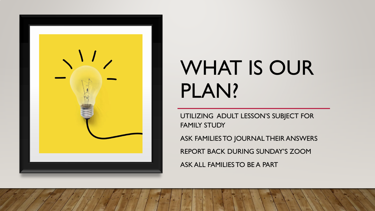

## WHAT IS OUR PLAN?

UTILIZING ADULT LESSON'S SUBJECT FOR FAMILY STUDY

ASK FAMILIES TO JOURNAL THEIR ANSWERS REPORT BACK DURING SUNDAY'S ZOOM ASK ALL FAMILIES TO BE A PART